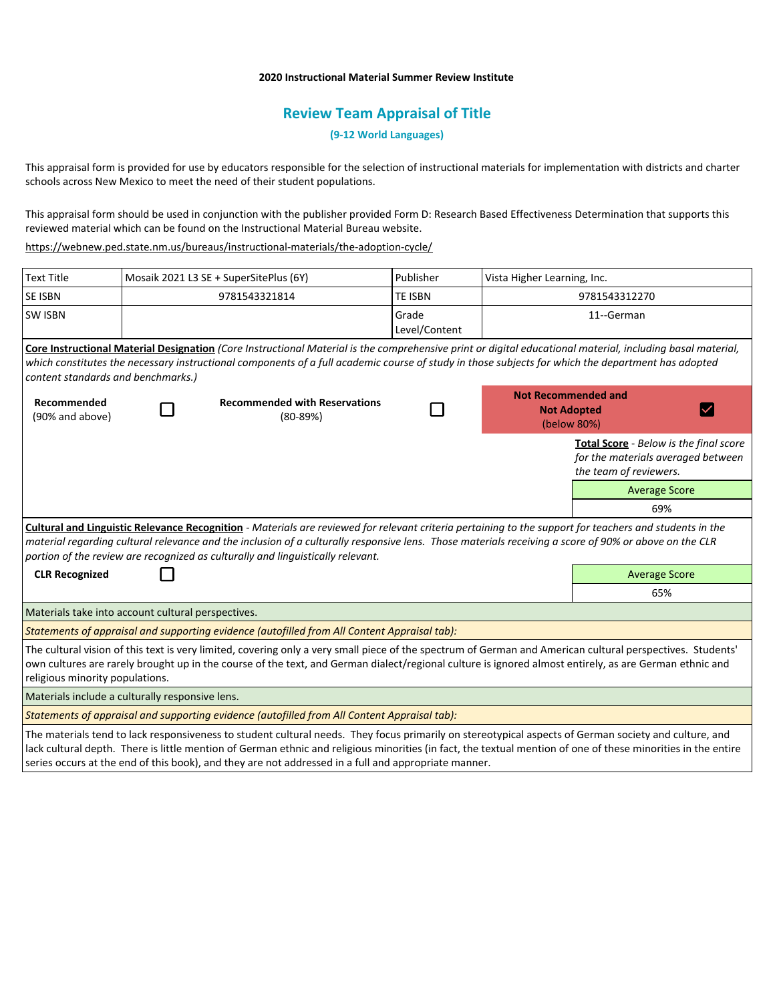## **2020 Instructional Material Summer Review Institute**

## **Review Team Appraisal of Title**

**(9-12 World Languages)**

This appraisal form is provided for use by educators responsible for the selection of instructional materials for implementation with districts and charter schools across New Mexico to meet the need of their student populations.

This appraisal form should be used in conjunction with the publisher provided Form D: Research Based Effectiveness Determination that supports this reviewed material which can be found on the Instructional Material Bureau website.

<https://webnew.ped.state.nm.us/bureaus/instructional-materials/the-adoption-cycle/>

| <b>Text Title</b>                                  | Mosaik 2021 L3 SE + SuperSitePlus (6Y) |                                                                                                                                                                                                                                                                                                                                                                                                     | Publisher      | Vista Higher Learning, Inc.                                     |                                                                                                        |
|----------------------------------------------------|----------------------------------------|-----------------------------------------------------------------------------------------------------------------------------------------------------------------------------------------------------------------------------------------------------------------------------------------------------------------------------------------------------------------------------------------------------|----------------|-----------------------------------------------------------------|--------------------------------------------------------------------------------------------------------|
| <b>SE ISBN</b>                                     | 9781543321814                          |                                                                                                                                                                                                                                                                                                                                                                                                     | <b>TE ISBN</b> | 9781543312270                                                   |                                                                                                        |
| <b>SW ISBN</b>                                     |                                        |                                                                                                                                                                                                                                                                                                                                                                                                     |                | 11--German                                                      |                                                                                                        |
| content standards and benchmarks.)                 |                                        | Core Instructional Material Designation (Core Instructional Material is the comprehensive print or digital educational material, including basal material,<br>which constitutes the necessary instructional components of a full academic course of study in those subjects for which the department has adopted                                                                                    |                |                                                                 |                                                                                                        |
| Recommended<br>(90% and above)                     |                                        | <b>Recommended with Reservations</b><br>$(80-89%)$                                                                                                                                                                                                                                                                                                                                                  |                | <b>Not Recommended and</b><br><b>Not Adopted</b><br>(below 80%) |                                                                                                        |
|                                                    |                                        |                                                                                                                                                                                                                                                                                                                                                                                                     |                |                                                                 | Total Score - Below is the final score<br>for the materials averaged between<br>the team of reviewers. |
|                                                    |                                        |                                                                                                                                                                                                                                                                                                                                                                                                     |                |                                                                 | <b>Average Score</b>                                                                                   |
|                                                    |                                        |                                                                                                                                                                                                                                                                                                                                                                                                     |                |                                                                 | 69%                                                                                                    |
|                                                    |                                        | Cultural and Linguistic Relevance Recognition - Materials are reviewed for relevant criteria pertaining to the support for teachers and students in the<br>material regarding cultural relevance and the inclusion of a culturally responsive lens. Those materials receiving a score of 90% or above on the CLR<br>portion of the review are recognized as culturally and linguistically relevant. |                |                                                                 |                                                                                                        |
| <b>CLR Recognized</b>                              |                                        |                                                                                                                                                                                                                                                                                                                                                                                                     |                |                                                                 | <b>Average Score</b>                                                                                   |
|                                                    |                                        |                                                                                                                                                                                                                                                                                                                                                                                                     |                |                                                                 | 65%                                                                                                    |
| Materials take into account cultural perspectives. |                                        |                                                                                                                                                                                                                                                                                                                                                                                                     |                |                                                                 |                                                                                                        |
|                                                    |                                        | Statements of appraisal and supporting evidence (autofilled from All Content Appraisal tab):                                                                                                                                                                                                                                                                                                        |                |                                                                 |                                                                                                        |
| religious minority populations.                    |                                        | The cultural vision of this text is very limited, covering only a very small piece of the spectrum of German and American cultural perspectives. Students'<br>own cultures are rarely brought up in the course of the text, and German dialect/regional culture is ignored almost entirely, as are German ethnic and                                                                                |                |                                                                 |                                                                                                        |
| Materials include a culturally responsive lens.    |                                        |                                                                                                                                                                                                                                                                                                                                                                                                     |                |                                                                 |                                                                                                        |
|                                                    |                                        | Statements of appraisal and supporting evidence (autofilled from All Content Appraisal tab):                                                                                                                                                                                                                                                                                                        |                |                                                                 |                                                                                                        |
|                                                    |                                        |                                                                                                                                                                                                                                                                                                                                                                                                     |                |                                                                 |                                                                                                        |

The materials tend to lack responsiveness to student cultural needs. They focus primarily on stereotypical aspects of German society and culture, and lack cultural depth. There is little mention of German ethnic and religious minorities (in fact, the textual mention of one of these minorities in the entire series occurs at the end of this book), and they are not addressed in a full and appropriate manner.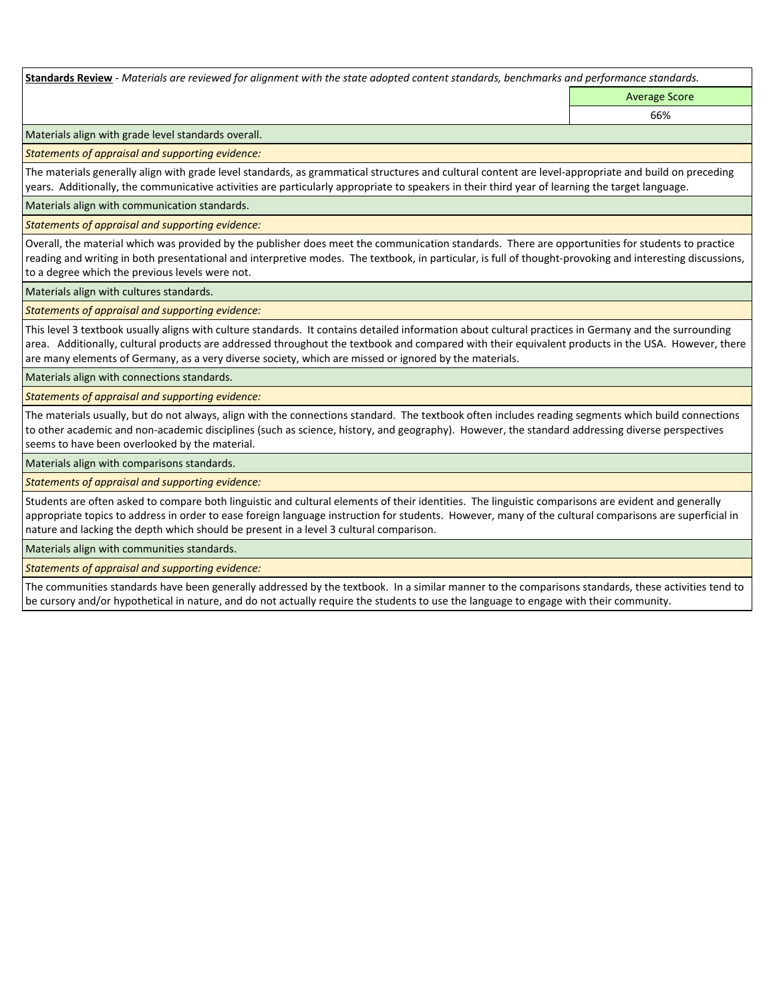**Standards Review** *- Materials are reviewed for alignment with the state adopted content standards, benchmarks and performance standards.*

Average Score 66%

Materials align with grade level standards overall.

*Statements of appraisal and supporting evidence:* 

The materials generally align with grade level standards, as grammatical structures and cultural content are level-appropriate and build on preceding years. Additionally, the communicative activities are particularly appropriate to speakers in their third year of learning the target language.

Materials align with communication standards.

*Statements of appraisal and supporting evidence:* 

Overall, the material which was provided by the publisher does meet the communication standards. There are opportunities for students to practice reading and writing in both presentational and interpretive modes. The textbook, in particular, is full of thought-provoking and interesting discussions, to a degree which the previous levels were not.

Materials align with cultures standards.

*Statements of appraisal and supporting evidence:* 

This level 3 textbook usually aligns with culture standards. It contains detailed information about cultural practices in Germany and the surrounding area. Additionally, cultural products are addressed throughout the textbook and compared with their equivalent products in the USA. However, there are many elements of Germany, as a very diverse society, which are missed or ignored by the materials.

Materials align with connections standards.

*Statements of appraisal and supporting evidence:* 

The materials usually, but do not always, align with the connections standard. The textbook often includes reading segments which build connections to other academic and non-academic disciplines (such as science, history, and geography). However, the standard addressing diverse perspectives seems to have been overlooked by the material.

Materials align with comparisons standards.

*Statements of appraisal and supporting evidence:* 

Students are often asked to compare both linguistic and cultural elements of their identities. The linguistic comparisons are evident and generally appropriate topics to address in order to ease foreign language instruction for students. However, many of the cultural comparisons are superficial in nature and lacking the depth which should be present in a level 3 cultural comparison.

Materials align with communities standards.

*Statements of appraisal and supporting evidence:* 

The communities standards have been generally addressed by the textbook. In a similar manner to the comparisons standards, these activities tend to be cursory and/or hypothetical in nature, and do not actually require the students to use the language to engage with their community.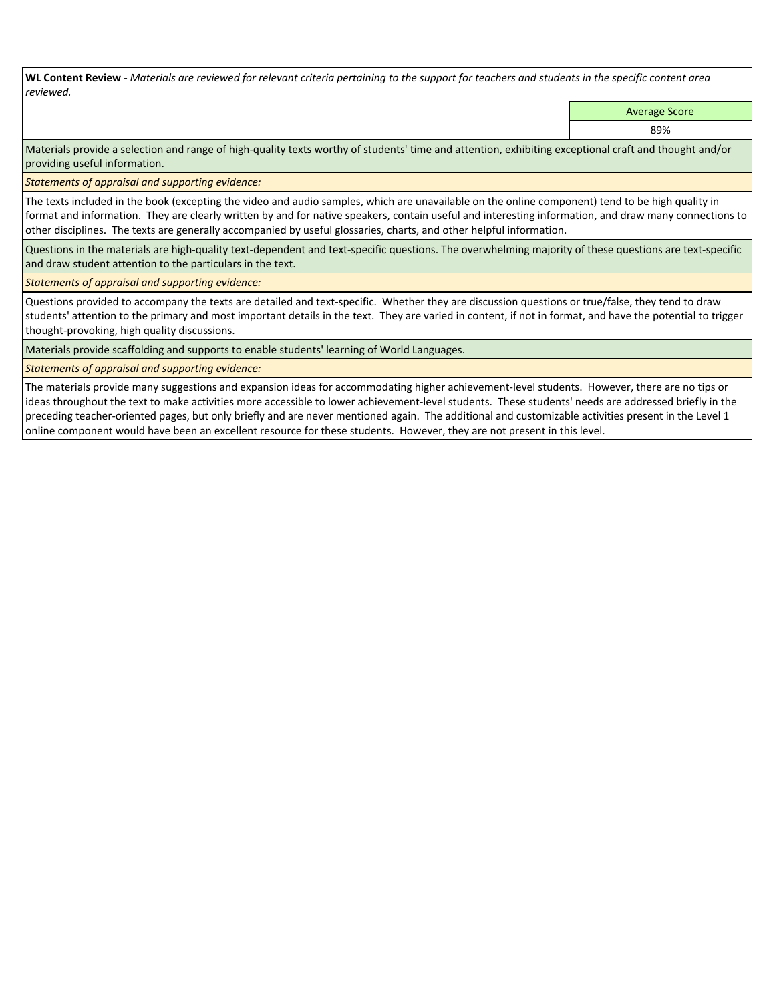**WL Content Review** *- Materials are reviewed for relevant criteria pertaining to the support for teachers and students in the specific content area reviewed.*

Average Score

89%

Materials provide a selection and range of high-quality texts worthy of students' time and attention, exhibiting exceptional craft and thought and/or providing useful information.

*Statements of appraisal and supporting evidence:* 

The texts included in the book (excepting the video and audio samples, which are unavailable on the online component) tend to be high quality in format and information. They are clearly written by and for native speakers, contain useful and interesting information, and draw many connections to other disciplines. The texts are generally accompanied by useful glossaries, charts, and other helpful information.

Questions in the materials are high-quality text-dependent and text-specific questions. The overwhelming majority of these questions are text-specific and draw student attention to the particulars in the text.

*Statements of appraisal and supporting evidence:* 

Questions provided to accompany the texts are detailed and text-specific. Whether they are discussion questions or true/false, they tend to draw students' attention to the primary and most important details in the text. They are varied in content, if not in format, and have the potential to trigger thought-provoking, high quality discussions.

Materials provide scaffolding and supports to enable students' learning of World Languages.

## *Statements of appraisal and supporting evidence:*

The materials provide many suggestions and expansion ideas for accommodating higher achievement-level students. However, there are no tips or ideas throughout the text to make activities more accessible to lower achievement-level students. These students' needs are addressed briefly in the preceding teacher-oriented pages, but only briefly and are never mentioned again. The additional and customizable activities present in the Level 1 online component would have been an excellent resource for these students. However, they are not present in this level.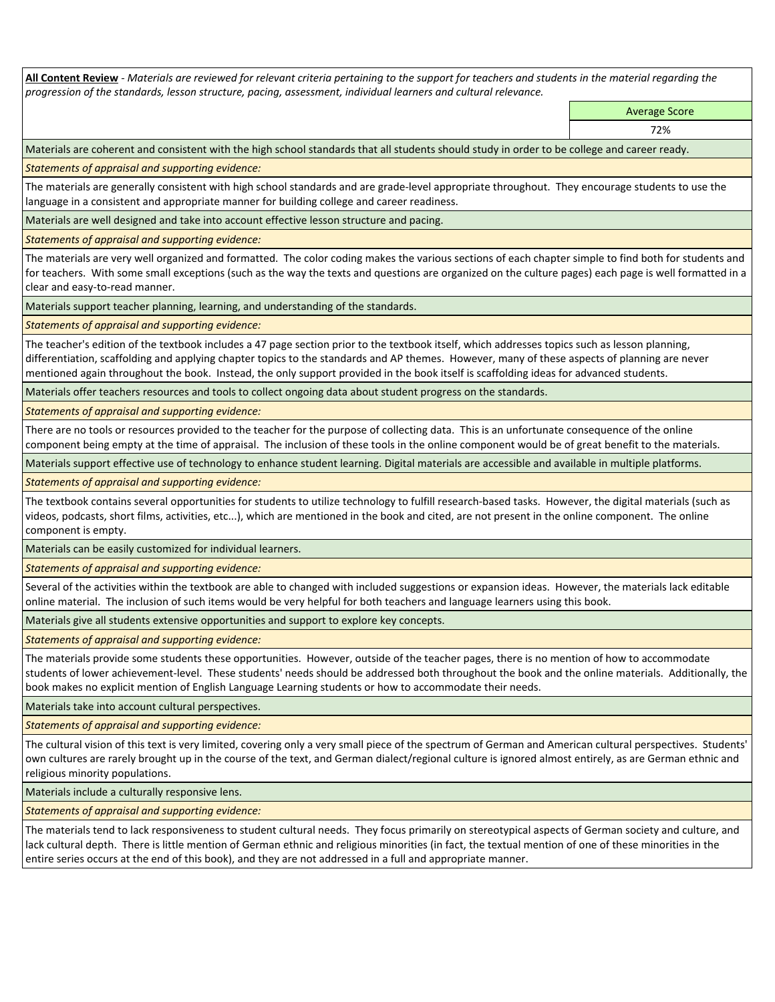**All Content Review** *- Materials are reviewed for relevant criteria pertaining to the support for teachers and students in the material regarding the progression of the standards, lesson structure, pacing, assessment, individual learners and cultural relevance.*

> Average Score 72%

Materials are coherent and consistent with the high school standards that all students should study in order to be college and career ready.

*Statements of appraisal and supporting evidence:*

The materials are generally consistent with high school standards and are grade-level appropriate throughout. They encourage students to use the language in a consistent and appropriate manner for building college and career readiness.

Materials are well designed and take into account effective lesson structure and pacing.

*Statements of appraisal and supporting evidence:*

The materials are very well organized and formatted. The color coding makes the various sections of each chapter simple to find both for students and for teachers. With some small exceptions (such as the way the texts and questions are organized on the culture pages) each page is well formatted in a clear and easy-to-read manner.

Materials support teacher planning, learning, and understanding of the standards.

*Statements of appraisal and supporting evidence:*

The teacher's edition of the textbook includes a 47 page section prior to the textbook itself, which addresses topics such as lesson planning, differentiation, scaffolding and applying chapter topics to the standards and AP themes. However, many of these aspects of planning are never mentioned again throughout the book. Instead, the only support provided in the book itself is scaffolding ideas for advanced students.

Materials offer teachers resources and tools to collect ongoing data about student progress on the standards.

*Statements of appraisal and supporting evidence:*

There are no tools or resources provided to the teacher for the purpose of collecting data. This is an unfortunate consequence of the online component being empty at the time of appraisal. The inclusion of these tools in the online component would be of great benefit to the materials.

Materials support effective use of technology to enhance student learning. Digital materials are accessible and available in multiple platforms.

*Statements of appraisal and supporting evidence:*

The textbook contains several opportunities for students to utilize technology to fulfill research-based tasks. However, the digital materials (such as videos, podcasts, short films, activities, etc...), which are mentioned in the book and cited, are not present in the online component. The online component is empty.

Materials can be easily customized for individual learners.

*Statements of appraisal and supporting evidence:* 

Several of the activities within the textbook are able to changed with included suggestions or expansion ideas. However, the materials lack editable online material. The inclusion of such items would be very helpful for both teachers and language learners using this book.

Materials give all students extensive opportunities and support to explore key concepts.

*Statements of appraisal and supporting evidence:*

The materials provide some students these opportunities. However, outside of the teacher pages, there is no mention of how to accommodate students of lower achievement-level. These students' needs should be addressed both throughout the book and the online materials. Additionally, the book makes no explicit mention of English Language Learning students or how to accommodate their needs.

Materials take into account cultural perspectives.

*Statements of appraisal and supporting evidence:*

The cultural vision of this text is very limited, covering only a very small piece of the spectrum of German and American cultural perspectives. Students' own cultures are rarely brought up in the course of the text, and German dialect/regional culture is ignored almost entirely, as are German ethnic and religious minority populations.

Materials include a culturally responsive lens.

*Statements of appraisal and supporting evidence:*

The materials tend to lack responsiveness to student cultural needs. They focus primarily on stereotypical aspects of German society and culture, and lack cultural depth. There is little mention of German ethnic and religious minorities (in fact, the textual mention of one of these minorities in the entire series occurs at the end of this book), and they are not addressed in a full and appropriate manner.